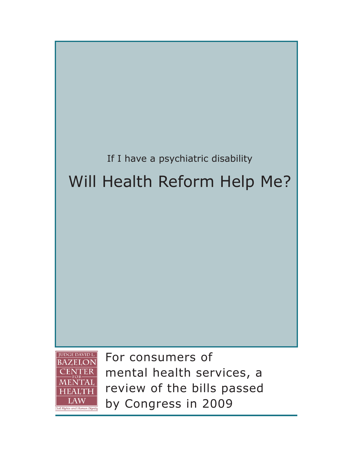

by Congress in 2009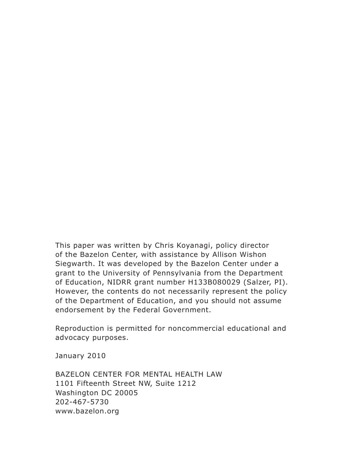This paper was written by Chris Koyanagi, policy director of the Bazelon Center, with assistance by Allison Wishon Siegwarth. It was developed by the Bazelon Center under a grant to the University of Pennsylvania from the Department of Education, NIDRR grant number H133B080029 (Salzer, PI). However, the contents do not necessarily represent the policy of the Department of Education, and you should not assume endorsement by the Federal Government.

Reproduction is permitted for noncommercial educational and advocacy purposes.

January 2010

BAZELON CENTER FOR MENTAL HEALTH LAW 1101 Fifteenth Street NW, Suite 1212 Washington DC 20005 202-467-5730 www.bazelon.org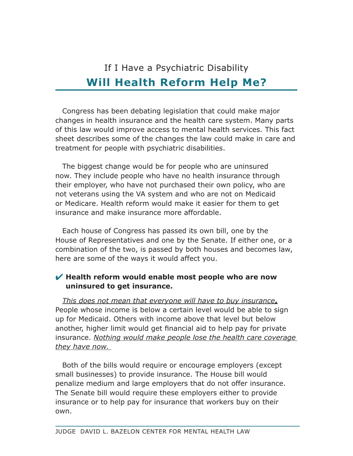# If I Have a Psychiatric Disability **Will Health Reform Help Me?**

Congress has been debating legislation that could make major changes in health insurance and the health care system. Many parts of this law would improve access to mental health services. This fact sheet describes some of the changes the law could make in care and treatment for people with psychiatric disabilities.

The biggest change would be for people who are uninsured now. They include people who have no health insurance through their employer, who have not purchased their own policy, who are not veterans using the VA system and who are not on Medicaid or Medicare. Health reform would make it easier for them to get insurance and make insurance more affordable.

Each house of Congress has passed its own bill, one by the House of Representatives and one by the Senate. If either one, or a combination of the two, is passed by both houses and becomes law, here are some of the ways it would affect you.

# **Health reform would enable most people who are now uninsured to get insurance.**

*This does not mean that everyone will have to buy insurance***.** People whose income is below a certain level would be able to sign up for Medicaid. Others with income above that level but below another, higher limit would get financial aid to help pay for private insurance. *Nothing would make people lose the health care coverage they have now.* 

Both of the bills would require or encourage employers (except small businesses) to provide insurance. The House bill would penalize medium and large employers that do not offer insurance. The Senate bill would require these employers either to provide insurance or to help pay for insurance that workers buy on their own.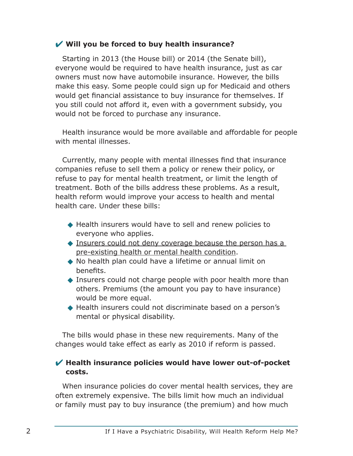#### **Will you be forced to buy health insurance?**

Starting in 2013 (the House bill) or 2014 (the Senate bill), everyone would be required to have health insurance, just as car owners must now have automobile insurance. However, the bills make this easy. Some people could sign up for Medicaid and others would get financial assistance to buy insurance for themselves. If you still could not afford it, even with a government subsidy, you would not be forced to purchase any insurance.

Health insurance would be more available and affordable for people with mental illnesses.

Currently, many people with mental illnesses find that insurance companies refuse to sell them a policy or renew their policy, or refuse to pay for mental health treatment, or limit the length of treatment. Both of the bills address these problems. As a result, health reform would improve your access to health and mental health care. Under these bills:

- ◆ Health insurers would have to sell and renew policies to everyone who applies.
- ◆ Insurers could not deny coverage because the person has a pre-existing health or mental health condition.
- ◆ No health plan could have a lifetime or annual limit on benefits.
- ◆ Insurers could not charge people with poor health more than others. Premiums (the amount you pay to have insurance) would be more equal.
- ◆ Health insurers could not discriminate based on a person's mental or physical disability.

The bills would phase in these new requirements. Many of the changes would take effect as early as 2010 if reform is passed.

#### **Health insurance policies would have lower out-of-pocket costs.**

When insurance policies do cover mental health services, they are often extremely expensive. The bills limit how much an individual or family must pay to buy insurance (the premium) and how much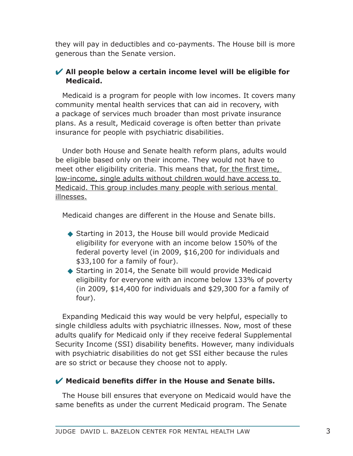they will pay in deductibles and co-payments. The House bill is more generous than the Senate version.

# **All people below a certain income level will be eligible for Medicaid.**

Medicaid is a program for people with low incomes. It covers many community mental health services that can aid in recovery, with a package of services much broader than most private insurance plans. As a result, Medicaid coverage is often better than private insurance for people with psychiatric disabilities.

Under both House and Senate health reform plans, adults would be eligible based only on their income. They would not have to meet other eligibility criteria. This means that, for the first time, low-income, single adults without children would have access to Medicaid. This group includes many people with serious mental illnesses.

Medicaid changes are different in the House and Senate bills.

- ◆ Starting in 2013, the House bill would provide Medicaid eligibility for everyone with an income below 150% of the federal poverty level (in 2009, \$16,200 for individuals and \$33,100 for a family of four).
- ◆ Starting in 2014, the Senate bill would provide Medicaid eligibility for everyone with an income below 133% of poverty (in 2009, \$14,400 for individuals and \$29,300 for a family of four).

Expanding Medicaid this way would be very helpful, especially to single childless adults with psychiatric illnesses. Now, most of these adults qualify for Medicaid only if they receive federal Supplemental Security Income (SSI) disability benefits. However, many individuals with psychiatric disabilities do not get SSI either because the rules are so strict or because they choose not to apply.

## **Medicaid benefits differ in the House and Senate bills.**

The House bill ensures that everyone on Medicaid would have the same benefits as under the current Medicaid program. The Senate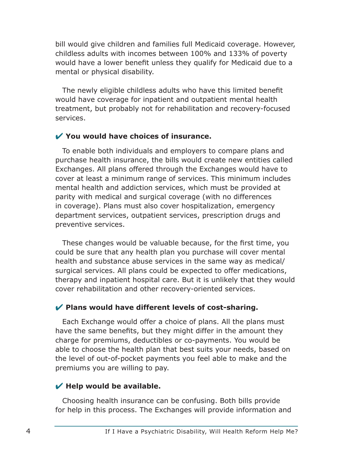bill would give children and families full Medicaid coverage. However, childless adults with incomes between 100% and 133% of poverty would have a lower benefit unless they qualify for Medicaid due to a mental or physical disability.

The newly eligible childless adults who have this limited benefit would have coverage for inpatient and outpatient mental health treatment, but probably not for rehabilitation and recovery-focused services.

#### **You would have choices of insurance.**

To enable both individuals and employers to compare plans and purchase health insurance, the bills would create new entities called Exchanges. All plans offered through the Exchanges would have to cover at least a minimum range of services. This minimum includes mental health and addiction services, which must be provided at parity with medical and surgical coverage (with no differences in coverage). Plans must also cover hospitalization, emergency department services, outpatient services, prescription drugs and preventive services.

These changes would be valuable because, for the first time, you could be sure that any health plan you purchase will cover mental health and substance abuse services in the same way as medical/ surgical services. All plans could be expected to offer medications, therapy and inpatient hospital care. But it is unlikely that they would cover rehabilitation and other recovery-oriented services.

## **Plans would have different levels of cost-sharing.**

Each Exchange would offer a choice of plans. All the plans must have the same benefits, but they might differ in the amount they charge for premiums, deductibles or co-payments. You would be able to choose the health plan that best suits your needs, based on the level of out-of-pocket payments you feel able to make and the premiums you are willing to pay.

## **Help would be available.**

Choosing health insurance can be confusing. Both bills provide for help in this process. The Exchanges will provide information and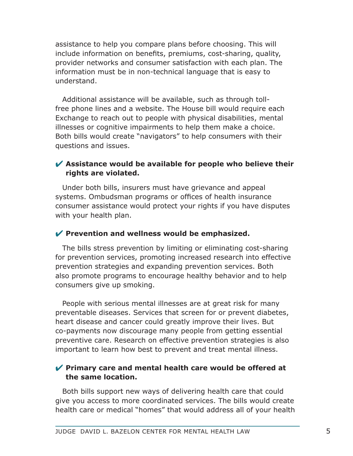assistance to help you compare plans before choosing. This will include information on benefits, premiums, cost-sharing, quality, provider networks and consumer satisfaction with each plan. The information must be in non-technical language that is easy to understand.

Additional assistance will be available, such as through tollfree phone lines and a website. The House bill would require each Exchange to reach out to people with physical disabilities, mental illnesses or cognitive impairments to help them make a choice. Both bills would create "navigators" to help consumers with their questions and issues.

## **Assistance would be available for people who believe their rights are violated.**

Under both bills, insurers must have grievance and appeal systems. Ombudsman programs or offices of health insurance consumer assistance would protect your rights if you have disputes with your health plan.

## Prevention and wellness would be emphasized.

The bills stress prevention by limiting or eliminating cost-sharing for prevention services, promoting increased research into effective prevention strategies and expanding prevention services. Both also promote programs to encourage healthy behavior and to help consumers give up smoking.

People with serious mental illnesses are at great risk for many preventable diseases. Services that screen for or prevent diabetes, heart disease and cancer could greatly improve their lives. But co-payments now discourage many people from getting essential preventive care. Research on effective prevention strategies is also important to learn how best to prevent and treat mental illness.

## **Primary care and mental health care would be offered at the same location.**

Both bills support new ways of delivering health care that could give you access to more coordinated services. The bills would create health care or medical "homes" that would address all of your health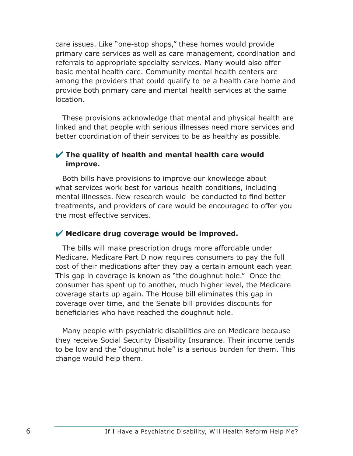care issues. Like "one-stop shops," these homes would provide primary care services as well as care management, coordination and referrals to appropriate specialty services. Many would also offer basic mental health care. Community mental health centers are among the providers that could qualify to be a health care home and provide both primary care and mental health services at the same location.

These provisions acknowledge that mental and physical health are linked and that people with serious illnesses need more services and better coordination of their services to be as healthy as possible.

## **The quality of health and mental health care would improve.**

Both bills have provisions to improve our knowledge about what services work best for various health conditions, including mental illnesses. New research would be conducted to find better treatments, and providers of care would be encouraged to offer you the most effective services.

## **Medicare drug coverage would be improved.**

The bills will make prescription drugs more affordable under Medicare. Medicare Part D now requires consumers to pay the full cost of their medications after they pay a certain amount each year. This gap in coverage is known as "the doughnut hole." Once the consumer has spent up to another, much higher level, the Medicare coverage starts up again. The House bill eliminates this gap in coverage over time, and the Senate bill provides discounts for beneficiaries who have reached the doughnut hole.

Many people with psychiatric disabilities are on Medicare because they receive Social Security Disability Insurance. Their income tends to be low and the "doughnut hole" is a serious burden for them. This change would help them.